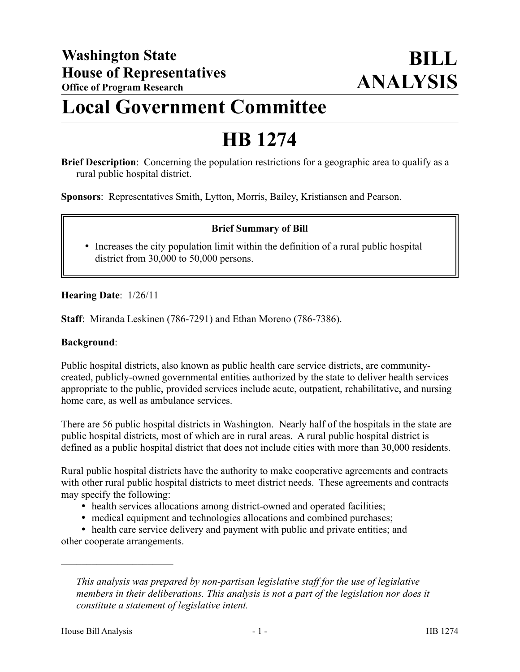## **Local Government Committee**

# **HB 1274**

**Brief Description**: Concerning the population restrictions for a geographic area to qualify as a rural public hospital district.

**Sponsors**: Representatives Smith, Lytton, Morris, Bailey, Kristiansen and Pearson.

### **Brief Summary of Bill**

• Increases the city population limit within the definition of a rural public hospital district from 30,000 to 50,000 persons.

### **Hearing Date**: 1/26/11

**Staff**: Miranda Leskinen (786-7291) and Ethan Moreno (786-7386).

#### **Background**:

Public hospital districts, also known as public health care service districts, are communitycreated, publicly-owned governmental entities authorized by the state to deliver health services appropriate to the public, provided services include acute, outpatient, rehabilitative, and nursing home care, as well as ambulance services.

There are 56 public hospital districts in Washington. Nearly half of the hospitals in the state are public hospital districts, most of which are in rural areas. A rural public hospital district is defined as a public hospital district that does not include cities with more than 30,000 residents.

Rural public hospital districts have the authority to make cooperative agreements and contracts with other rural public hospital districts to meet district needs. These agreements and contracts may specify the following:

- health services allocations among district-owned and operated facilities;
- medical equipment and technologies allocations and combined purchases;

 health care service delivery and payment with public and private entities; and other cooperate arrangements.

––––––––––––––––––––––

*This analysis was prepared by non-partisan legislative staff for the use of legislative members in their deliberations. This analysis is not a part of the legislation nor does it constitute a statement of legislative intent.*